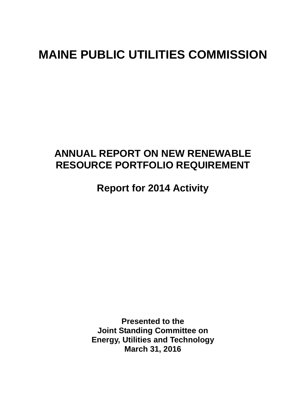# **MAINE PUBLIC UTILITIES COMMISSION**

## **ANNUAL REPORT ON NEW RENEWABLE RESOURCE PORTFOLIO REQUIREMENT**

**Report for 2014 Activity** 

**Presented to the Joint Standing Committee on Energy, Utilities and Technology March 31, 2016**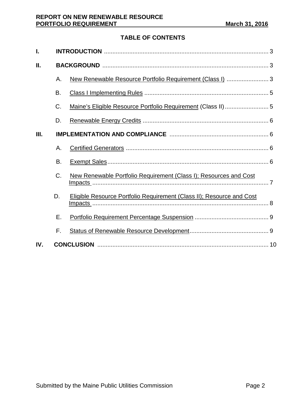### **TABLE OF CONTENTS**

| ı.  |           |                                                                       |  |  |  |
|-----|-----------|-----------------------------------------------------------------------|--|--|--|
| Ш.  |           |                                                                       |  |  |  |
|     | Α.        | New Renewable Resource Portfolio Requirement (Class I)  3             |  |  |  |
|     | <b>B.</b> |                                                                       |  |  |  |
|     | C.        |                                                                       |  |  |  |
|     | D.        |                                                                       |  |  |  |
| Ш.  |           |                                                                       |  |  |  |
|     | Α.        |                                                                       |  |  |  |
|     | B.        |                                                                       |  |  |  |
|     | C.        | New Renewable Portfolio Requirement (Class I); Resources and Cost     |  |  |  |
|     | D.        | Eligible Resource Portfolio Requirement (Class II); Resource and Cost |  |  |  |
|     | Ε.        |                                                                       |  |  |  |
|     | F.        |                                                                       |  |  |  |
| IV. |           |                                                                       |  |  |  |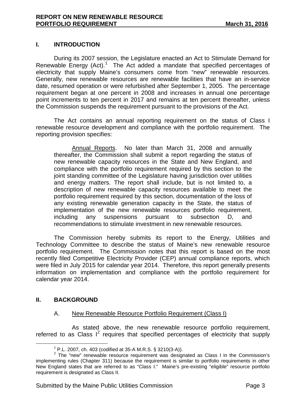#### **I. INTRODUCTION**

During its 2007 session, the Legislature enacted an Act to Stimulate Demand for Renewable Energy  $(Act)$ .<sup>[1](#page-2-0)</sup> The Act added a mandate that specified percentages of electricity that supply Maine's consumers come from "new" renewable resources. Generally, new renewable resources are renewable facilities that have an in-service date, resumed operation or were refurbished after September 1, 2005. The percentage requirement began at one percent in 2008 and increases in annual one percentage point increments to ten percent in 2017 and remains at ten percent thereafter, unless the Commission suspends the requirement pursuant to the provisions of the Act.

The Act contains an annual reporting requirement on the status of Class I renewable resource development and compliance with the portfolio requirement. The reporting provision specifies:

Annual Reports. No later than March 31, 2008 and annually thereafter, the Commission shall submit a report regarding the status of new renewable capacity resources in the State and New England, and compliance with the portfolio requirement required by this section to the joint standing committee of the Legislature having jurisdiction over utilities and energy matters. The report shall include, but is not limited to, a description of new renewable capacity resources available to meet the portfolio requirement required by this section, documentation of the loss of any existing renewable generation capacity in the State, the status of implementation of the new renewable resources portfolio requirement, including any suspensions pursuant to subsection D, and recommendations to stimulate investment in new renewable resources.

The Commission hereby submits its report to the Energy, Utilities and Technology Committee to describe the status of Maine's new renewable resource portfolio requirement. The Commission notes that this report is based on the most recently filed Competitive Electricity Provider (CEP) annual compliance reports, which were filed in July 2015 for calendar year 2014. Therefore, this report generally presents information on implementation and compliance with the portfolio requirement for calendar year 2014.

#### **II. BACKGROUND**

#### A. New Renewable Resource Portfolio Requirement (Class I)

As stated above, the new renewable resource portfolio requirement, referred to as Class  $I^2$  $I^2$  requires that specified percentages of electricity that supply

<span id="page-2-1"></span><span id="page-2-0"></span><sup>&</sup>lt;sup>1</sup> P.L. 2007, ch. 403 (codified at 35-A M.R.S. § 3210(3-A)).<br><sup>2</sup> The "new" renewable resource requirement was designated as Class I in the Commission's implementing rules (Chapter 311) because the requirement is similar to portfolio requirements in other New England states that are referred to as "Class I." Maine's pre-existing "eligible" resource portfolio requirement is designated as Class II.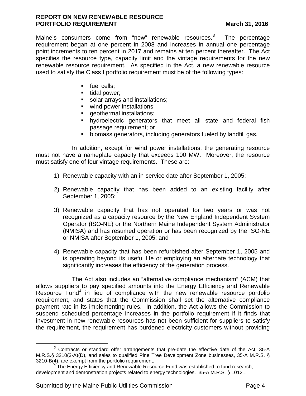Maine's consumers come from "new" renewable resources.<sup>[3](#page-3-0)</sup> The percentage requirement began at one percent in 2008 and increases in annual one percentage point increments to ten percent in 2017 and remains at ten percent thereafter. The Act specifies the resource type, capacity limit and the vintage requirements for the new renewable resource requirement. As specified in the Act, a new renewable resource used to satisfy the Class I portfolio requirement must be of the following types:

- fuel cells;
- $\blacksquare$  tidal power;
- solar arrays and installations;
- wind power installations;
- **qeothermal installations;**
- hydroelectric generators that meet all state and federal fish passage requirement; or
- biomass generators, including generators fueled by landfill gas.

In addition, except for wind power installations, the generating resource must not have a nameplate capacity that exceeds 100 MW. Moreover, the resource must satisfy one of four vintage requirements. These are:

- 1) Renewable capacity with an in-service date after September 1, 2005;
- 2) Renewable capacity that has been added to an existing facility after September 1, 2005;
- 3) Renewable capacity that has not operated for two years or was not recognized as a capacity resource by the New England Independent System Operator (ISO-NE) or the Northern Maine Independent System Administrator (NMISA) and has resumed operation or has been recognized by the ISO-NE or NMISA after September 1, 2005; and
- 4) Renewable capacity that has been refurbished after September 1, 2005 and is operating beyond its useful life or employing an alternate technology that significantly increases the efficiency of the generation process.

The Act also includes an "alternative compliance mechanism" (ACM) that allows suppliers to pay specified amounts into the Energy Efficiency and Renewable Resource Fund<sup>[4](#page-3-1)</sup> in lieu of compliance with the new renewable resource portfolio requirement, and states that the Commission shall set the alternative compliance payment rate in its implementing rules. In addition, the Act allows the Commission to suspend scheduled percentage increases in the portfolio requirement if it finds that investment in new renewable resources has not been sufficient for suppliers to satisfy the requirement, the requirement has burdened electricity customers without providing

<span id="page-3-0"></span><sup>&</sup>lt;sup>3</sup> Contracts or standard offer arrangements that pre-date the effective date of the Act, 35-A M.R.S.§ 3210(3-A)(D), and sales to qualified Pine Tree Development Zone businesses, 35-A M.R.S. §<br>3210-B(4), are exempt from the portfolio requirement.

<span id="page-3-1"></span> $4$  The Energy Efficiency and Renewable Resource Fund was established to fund research, development and demonstration projects related to energy technologies. 35-A M.R.S. § 10121.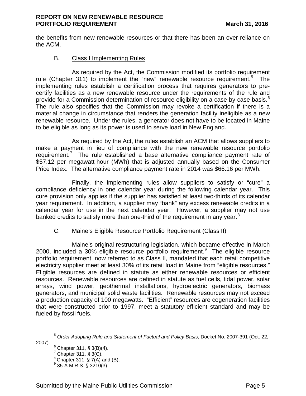the benefits from new renewable resources or that there has been an over reliance on the ACM.

#### B. Class I Implementing Rules

As required by the Act, the Commission modified its portfolio requirement rule (Chapter 311) to implement the "new" renewable resource requirement.<sup>[5](#page-4-0)</sup> The implementing rules establish a certification process that requires generators to precertify facilities as a new renewable resource under the requirements of the rule and provide for a Commission determination of resource eligibility on a case-by-case basis.  $^6$  $^6$ The rule also specifies that the Commission may revoke a certification if there is a material change in circumstance that renders the generation facility ineligible as a new renewable resource. Under the rules, a generator does not have to be located in Maine to be eligible as long as its power is used to serve load in New England.

As required by the Act, the rules establish an ACM that allows suppliers to make a payment in lieu of compliance with the new renewable resource portfolio requirement.<sup>[7](#page-4-2)</sup> The rule established a base alternative compliance payment rate of \$57.12 per megawatt-hour (MWh) that is adjusted annually based on the Consumer Price Index. The alternative compliance payment rate in 2014 was \$66.16 per MWh.

Finally, the implementing rules allow suppliers to satisfy or "cure" a compliance deficiency in one calendar year during the following calendar year. This cure provision only applies if the supplier has satisfied at least two-thirds of its calendar year requirement. In addition, a supplier may "bank" any excess renewable credits in a calendar year for use in the next calendar year. However, a supplier may not use banked credits to satisfy more than one-third of the requirement in any year. $8$ 

#### C. Maine's Eligible Resource Portfolio Requirement (Class II)

Maine's original restructuring legislation, which became effective in March 2000, included a 30% eligible resource portfolio requirement. $9$  The eligible resource portfolio requirement, now referred to as Class II, mandated that each retail competitive electricity supplier meet at least 30% of its retail load in Maine from "eligible resources." Eligible resources are defined in statute as either renewable resources or efficient resources. Renewable resources are defined in statute as fuel cells, tidal power, solar arrays, wind power, geothermal installations, hydroelectric generators, biomass generators, and municipal solid waste facilities. Renewable resources may not exceed a production capacity of 100 megawatts. "Efficient" resources are cogeneration facilities that were constructed prior to 1997, meet a statutory efficient standard and may be fueled by fossil fuels.

<span id="page-4-4"></span><span id="page-4-3"></span><span id="page-4-2"></span><span id="page-4-1"></span><span id="page-4-0"></span><sup>5</sup> *Order Adopting Rule and Statement of Factual and Policy Basis,* Docket No. 2007-391 (Oct. 22,

 $6$  Chapter 311, § 3(B)(4).

 $7$  Chapter 311,  $\S 3(C)$ .

 $8$  Chapter 311, § 7(A) and (B).

 $9$  35-A M.R.S. § 3210(3).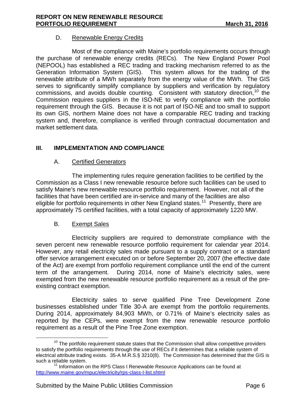#### D. Renewable Energy Credits

Most of the compliance with Maine's portfolio requirements occurs through the purchase of renewable energy credits (RECs). The New England Power Pool (NEPOOL) has established a REC trading and tracking mechanism referred to as the Generation Information System (GIS). This system allows for the trading of the renewable attribute of a MWh separately from the energy value of the MWh. The GIS serves to significantly simplify compliance by suppliers and verification by regulatory commissions, and avoids double counting. Consistent with statutory direction,  $10$  the Commission requires suppliers in the ISO-NE to verify compliance with the portfolio requirement through the GIS. Because it is not part of ISO-NE and too small to support its own GIS, northern Maine does not have a comparable REC trading and tracking system and, therefore, compliance is verified through contractual documentation and market settlement data.

#### **III. IMPLEMENTATION AND COMPLIANCE**

#### A. Certified Generators

The implementing rules require generation facilities to be certified by the Commission as a Class I new renewable resource before such facilities can be used to satisfy Maine's new renewable resource portfolio requirement. However, not all of the facilities that have been certified are in-service and many of the facilities are also eligible for portfolio requirements in other New England states.<sup>[11](#page-5-1)</sup> Presently, there are approximately 75 certified facilities, with a total capacity of approximately 1220 MW.

#### B. Exempt Sales

Electricity suppliers are required to demonstrate compliance with the seven percent new renewable resource portfolio requirement for calendar year 2014. However, any retail electricity sales made pursuant to a supply contract or a standard offer service arrangement executed on or before September 20, 2007 (the effective date of the Act) are exempt from portfolio requirement compliance until the end of the current term of the arrangement. During 2014, none of Maine's electricity sales, were exempted from the new renewable resource portfolio requirement as a result of the preexisting contract exemption.

Electricity sales to serve qualified Pine Tree Development Zone businesses established under Title 30-A are exempt from the portfolio requirements. During 2014, approximately 84,903 MWh, or 0.71% of Maine's electricity sales as reported by the CEPs, were exempt from the new renewable resource portfolio requirement as a result of the Pine Tree Zone exemption.

<span id="page-5-0"></span> $10$  The portfolio requirement statute states that the Commission shall allow competitive providers to satisfy the portfolio requirements through the use of RECs if it determines that a reliable system of electrical attribute trading exists. 35-A M.R.S.§ 3210(8). The Commission has determined that the GIS is

<span id="page-5-1"></span> $11$  Information on the RPS Class I Renewable Resource Applications can be found at <http://www.maine.gov/mpuc/electricity/rps-class-I-list.shtml>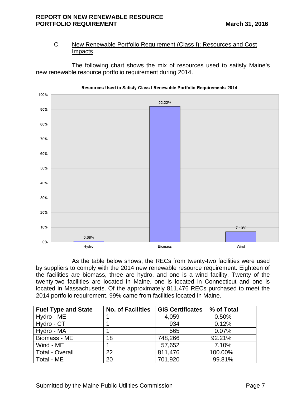#### C. New Renewable Portfolio Requirement (Class I); Resources and Cost Impacts

The following chart shows the mix of resources used to satisfy Maine's new renewable resource portfolio requirement during 2014.



Resources Used to Satisfy Class I Renewable Portfolio Requirements 2014

As the table below shows, the RECs from twenty-two facilities were used by suppliers to comply with the 2014 new renewable resource requirement. Eighteen of the facilities are biomass, three are hydro, and one is a wind facility. Twenty of the twenty-two facilities are located in Maine, one is located in Connecticut and one is located in Massachusetts. Of the approximately 811,476 RECs purchased to meet the 2014 portfolio requirement, 99% came from facilities located in Maine.

| <b>Fuel Type and State</b> | <b>No. of Facilities</b> | <b>GIS Certificates</b> | % of Total |
|----------------------------|--------------------------|-------------------------|------------|
| Hydro - ME                 |                          | 4,059                   | 0.50%      |
| Hydro - CT                 |                          | 934                     | 0.12%      |
| Hydro - MA                 |                          | 565                     | 0.07%      |
| Biomass - ME               | 18                       | 748,266                 | 92.21%     |
| Wind - ME                  |                          | 57,652                  | 7.10%      |
| <b>Total - Overall</b>     | 22                       | 811,476                 | 100.00%    |
| Total - ME                 | 20                       | 701,920                 | 99.81%     |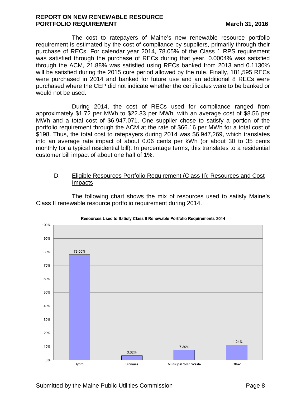#### **REPORT ON NEW RENEWABLE RESOURCE PORTFOLIO REQUIREMENT March 31, 2016**

The cost to ratepayers of Maine's new renewable resource portfolio requirement is estimated by the cost of compliance by suppliers, primarily through their purchase of RECs. For calendar year 2014, 78.05% of the Class 1 RPS requirement was satisfied through the purchase of RECs during that year, 0.0004% was satisfied through the ACM, 21.88% was satisfied using RECs banked from 2013 and 0.1130% will be satisfied during the 2015 cure period allowed by the rule. Finally, 181,595 RECs were purchased in 2014 and banked for future use and an additional 8 RECs were purchased where the CEP did not indicate whether the certificates were to be banked or would not be used.

During 2014, the cost of RECs used for compliance ranged from approximately \$1.72 per MWh to \$22.33 per MWh, with an average cost of \$8.56 per MWh and a total cost of \$6,947,071. One supplier chose to satisfy a portion of the portfolio requirement through the ACM at the rate of \$66.16 per MWh for a total cost of \$198. Thus, the total cost to ratepayers during 2014 was \$6,947,269, which translates into an average rate impact of about 0.06 cents per kWh (or about 30 to 35 cents monthly for a typical residential bill). In percentage terms, this translates to a residential customer bill impact of about one half of 1%.

#### D. Eligible Resources Portfolio Requirement (Class II); Resources and Cost Impacts

The following chart shows the mix of resources used to satisfy Maine's Class II renewable resource portfolio requirement during 2014.



#### Resources Used to Satisfy Class II Renewable Portfolio Requirements 2014

Submitted by the Maine Public Utilities Commission **Page 8** Page 8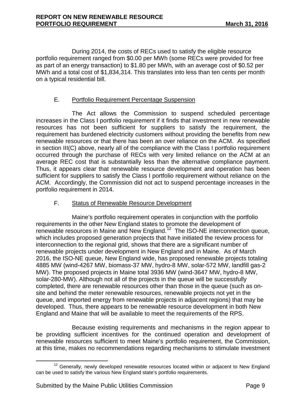During 2014, the costs of RECs used to satisfy the eligible resource portfolio requirement ranged from \$0.00 per MWh (some RECs were provided for free as part of an energy transaction) to \$1.80 per MWh, with an average cost of \$0.52 per MWh and a total cost of \$1,834,314. This translates into less than ten cents per month on a typical residential bill.

#### E. Portfolio Requirement Percentage Suspension

The Act allows the Commission to suspend scheduled percentage increases in the Class I portfolio requirement if it finds that investment in new renewable resources has not been sufficient for suppliers to satisfy the requirement, the requirement has burdened electricity customers without providing the benefits from new renewable resources or that there has been an over reliance on the ACM. As specified in section III(C) above, nearly all of the compliance with the Class I portfolio requirement occurred through the purchase of RECs with very limited reliance on the ACM at an average REC cost that is substantially less than the alternative compliance payment. Thus, it appears clear that renewable resource development and operation has been sufficient for suppliers to satisfy the Class I portfolio requirement without reliance on the ACM. Accordingly, the Commission did not act to suspend percentage increases in the portfolio requirement in 2014.

#### F. Status of Renewable Resource Development

Maine's portfolio requirement operates in conjunction with the portfolio requirements in the other New England states to promote the development of renewable resources in Maine and New England.<sup>12</sup> The ISO-NE interconnection queue, which includes proposed generation projects that have initiated the review process for interconnection to the regional grid, shows that there are a significant number of renewable projects under development in New England and in Maine. As of March 2016, the ISO-NE queue, New England wide, has proposed renewable projects totaling 4885 MW (wind-4267 MW, biomass-37 MW, hydro-8 MW, solar-572 MW, landfill gas-2 MW). The proposed projects in Maine total 3936 MW (wind-3647 MW, hydro-8 MW, solar-280-MW). Although not all of the projects in the queue will be successfully completed, there are renewable resources other than those in the queue (such as onsite and behind the meter renewable resources, renewable projects not yet in the queue, and imported energy from renewable projects in adjacent regions) that may be developed. Thus, there appears to be renewable resource development in both New England and Maine that will be available to meet the requirements of the RPS.

Because existing requirements and mechanisms in the region appear to be providing sufficient incentives for the continued operation and development of renewable resources sufficient to meet Maine's portfolio requirement, the Commission, at this time, makes no recommendations regarding mechanisms to stimulate investment

<span id="page-8-0"></span> $12$  Generally, newly developed renewable resources located within or adjacent to New England can be used to satisfy the various New England state's portfolio requirements.